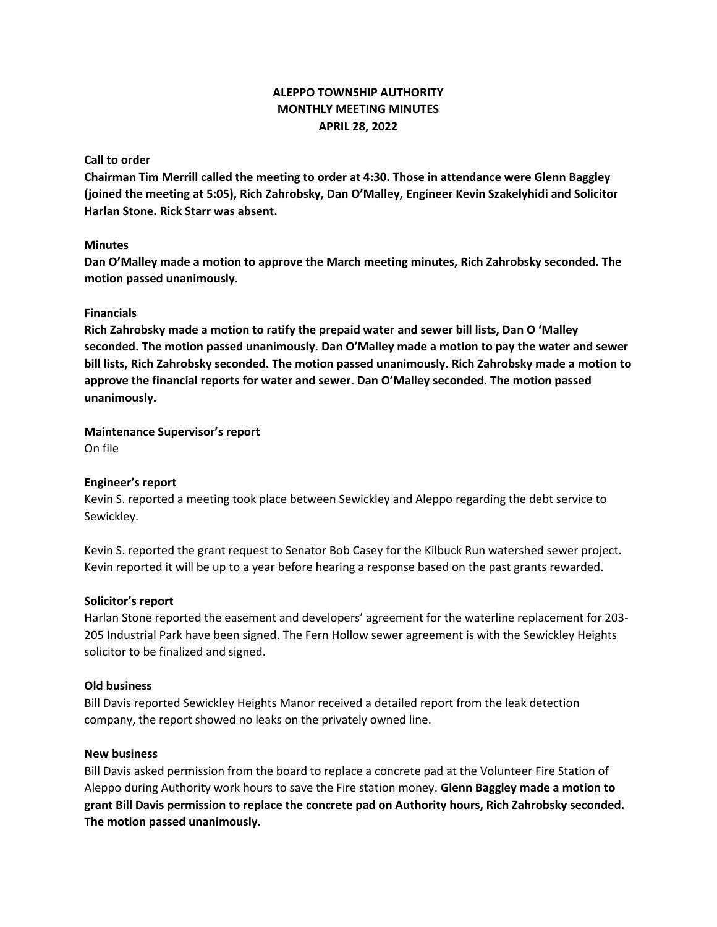# **ALEPPO TOWNSHIP AUTHORITY MONTHLY MEETING MINUTES APRIL 28, 2022**

# **Call to order**

**Chairman Tim Merrill called the meeting to order at 4:30. Those in attendance were Glenn Baggley (joined the meeting at 5:05), Rich Zahrobsky, Dan O'Malley, Engineer Kevin Szakelyhidi and Solicitor Harlan Stone. Rick Starr was absent.**

# **Minutes**

**Dan O'Malley made a motion to approve the March meeting minutes, Rich Zahrobsky seconded. The motion passed unanimously.**

## **Financials**

**Rich Zahrobsky made a motion to ratify the prepaid water and sewer bill lists, Dan O 'Malley seconded. The motion passed unanimously. Dan O'Malley made a motion to pay the water and sewer bill lists, Rich Zahrobsky seconded. The motion passed unanimously. Rich Zahrobsky made a motion to approve the financial reports for water and sewer. Dan O'Malley seconded. The motion passed unanimously.**

## **Maintenance Supervisor's report**

On file

# **Engineer's report**

Kevin S. reported a meeting took place between Sewickley and Aleppo regarding the debt service to Sewickley.

Kevin S. reported the grant request to Senator Bob Casey for the Kilbuck Run watershed sewer project. Kevin reported it will be up to a year before hearing a response based on the past grants rewarded.

#### **Solicitor's report**

Harlan Stone reported the easement and developers' agreement for the waterline replacement for 203- 205 Industrial Park have been signed. The Fern Hollow sewer agreement is with the Sewickley Heights solicitor to be finalized and signed.

#### **Old business**

Bill Davis reported Sewickley Heights Manor received a detailed report from the leak detection company, the report showed no leaks on the privately owned line.

#### **New business**

Bill Davis asked permission from the board to replace a concrete pad at the Volunteer Fire Station of Aleppo during Authority work hours to save the Fire station money. **Glenn Baggley made a motion to grant Bill Davis permission to replace the concrete pad on Authority hours, Rich Zahrobsky seconded. The motion passed unanimously.**